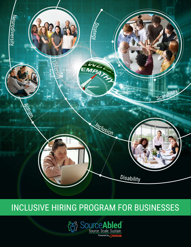

# INCLUSIVE HIRING PROGRAM FOR BUSINESSES